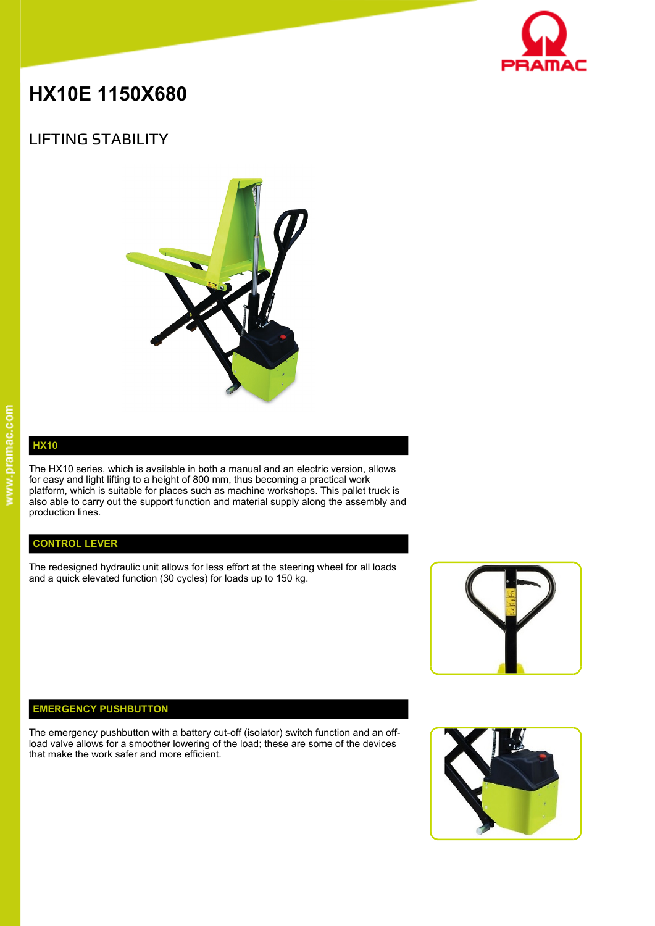

# **HX10E 1150X680**

## LIFTING STABILITY



# **HX10**

The HX10 series, which is available in both a manual and an electric version, allows for easy and light lifting to a height of 800 mm, thus becoming a practical work platform, which is suitable for places such as machine workshops. This pallet truck is also able to carry out the support function and material supply along the assembly and production lines.

### **CONTROL LEVER**

The redesigned hydraulic unit allows for less effort at the steering wheel for all loads and a quick elevated function (30 cycles) for loads up to 150 kg.



#### **EMERGENCY PUSHBUTTON**

The emergency pushbutton with a battery cut-off (isolator) switch function and an offload valve allows for a smoother lowering of the load; these are some of the devices that make the work safer and more efficient.

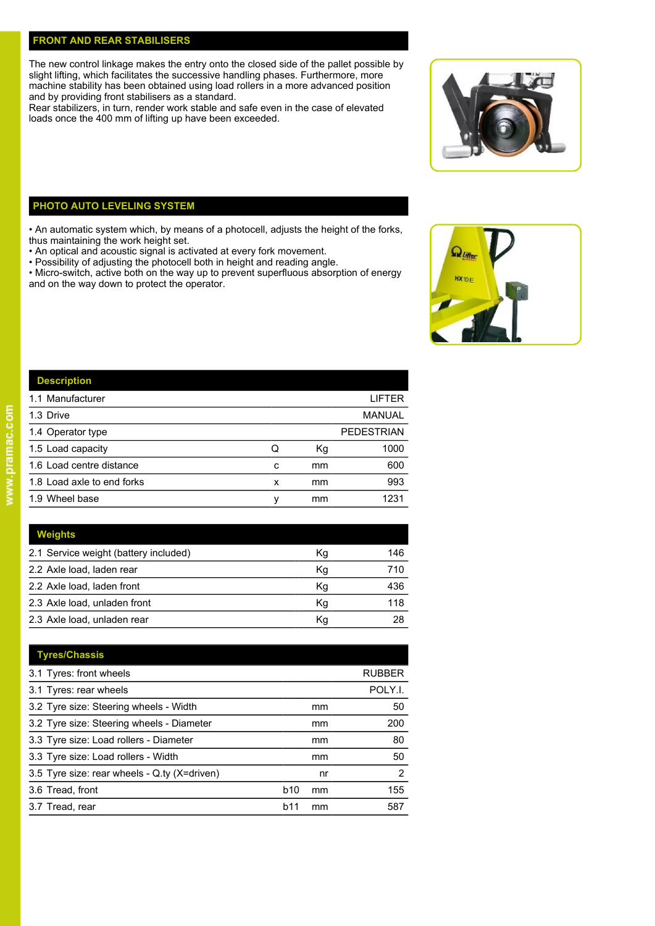#### **FRONT AND REAR STABILISERS**

The new control linkage makes the entry onto the closed side of the pallet possible by slight lifting, which facilitates the successive handling phases. Furthermore, more machine stability has been obtained using load rollers in a more advanced position and by providing front stabilisers as a standard.

Rear stabilizers, in turn, render work stable and safe even in the case of elevated loads once the 400 mm of lifting up have been exceeded.



### **PHOTO AUTO LEVELING SYSTEM**

• An automatic system which, by means of a photocell, adjusts the height of the forks, thus maintaining the work height set.

- An optical and acoustic signal is activated at every fork movement.
- Possibility of adjusting the photocell both in height and reading angle.

• Micro-switch, active both on the way up to prevent superfluous absorption of energy and on the way down to protect the operator.



| ۰       |  |
|---------|--|
| -<br>۰  |  |
| 3       |  |
| l<br>٥  |  |
| ×.<br>G |  |
| Ξ<br>c  |  |
|         |  |
| ۰       |  |
| t       |  |
| ۰       |  |
| à       |  |
| г       |  |
| ÷       |  |
|         |  |

| <b>Description</b>         |   |    |                   |
|----------------------------|---|----|-------------------|
| 1.1 Manufacturer           |   |    | <b>LIFTER</b>     |
| 1.3 Drive                  |   |    | <b>MANUAL</b>     |
| 1.4 Operator type          |   |    | <b>PEDESTRIAN</b> |
| 1.5 Load capacity          | Q | Кg | 1000              |
| 1.6 Load centre distance   | с | mm | 600               |
| 1.8 Load axle to end forks | x | mm | 993               |
| 1.9 Wheel base             |   | mm | 1231              |

| <b>Weights</b>                        |    |     |
|---------------------------------------|----|-----|
| 2.1 Service weight (battery included) | Kg | 146 |
| 2.2 Axle load, laden rear             | Kg | 710 |
| 2.2 Axle load, laden front            | Кg | 436 |
| 2.3 Axle load, unladen front          | Кg | 118 |
| 2.3 Axle load, unladen rear           | Кg | 28  |

| <b>Tyres/Chassis</b>                         |                  |               |
|----------------------------------------------|------------------|---------------|
| 3.1 Tyres: front wheels                      |                  | <b>RUBBER</b> |
| 3.1 Tyres: rear wheels                       |                  | POLY.I.       |
| 3.2 Tyre size: Steering wheels - Width       | mm               | 50            |
| 3.2 Tyre size: Steering wheels - Diameter    | mm               | 200           |
| 3.3 Tyre size: Load rollers - Diameter       | mm               | 80            |
| 3.3 Tyre size: Load rollers - Width          | mm               | 50            |
| 3.5 Tyre size: rear wheels - Q.ty (X=driven) | nr               | 2             |
| 3.6 Tread, front                             | <b>b10</b><br>mm | 155           |
| 3.7 Tread, rear                              | b11<br>mm        | 587           |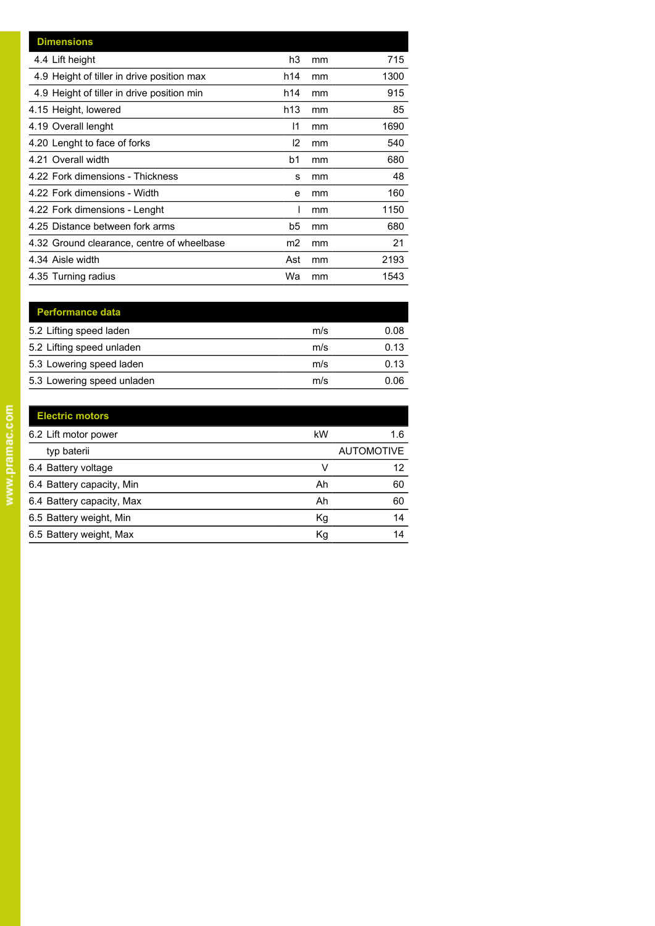| <b>Dimensions</b>                          |                |    |      |
|--------------------------------------------|----------------|----|------|
| 4.4 Lift height                            | h3             | mm | 715  |
| 4.9 Height of tiller in drive position max | h14            | mm | 1300 |
| 4.9 Height of tiller in drive position min | h14            | mm | 915  |
| 4.15 Height, lowered                       | h13            | mm | 85   |
| 4.19 Overall lenght                        | $\mathsf{I}$   | mm | 1690 |
| 4.20 Lenght to face of forks               | 12             | mm | 540  |
| 4.21 Overall width                         | b1             | mm | 680  |
| 4.22 Fork dimensions - Thickness           | s              | mm | 48   |
| 4.22 Fork dimensions - Width               | e              | mm | 160  |
| 4.22 Fork dimensions - Lenght              |                | mm | 1150 |
| 4.25 Distance between fork arms            | b5             | mm | 680  |
| 4.32 Ground clearance, centre of wheelbase | m <sub>2</sub> | mm | 21   |
| 4.34 Aisle width                           | Ast            | mm | 2193 |
| 4.35 Turning radius                        | Wa             | mm | 1543 |

| <b>Performance data</b>    |     |      |
|----------------------------|-----|------|
| 5.2 Lifting speed laden    | m/s | 0.08 |
| 5.2 Lifting speed unladen  | m/s | 0.13 |
| 5.3 Lowering speed laden   | m/s | 0.13 |
| 5.3 Lowering speed unladen | m/s | 0.06 |

| <b>Electric motors</b>    |    |                   |
|---------------------------|----|-------------------|
| 6.2 Lift motor power      | kW | 1.6               |
| typ baterii               |    | <b>AUTOMOTIVE</b> |
| 6.4 Battery voltage       | V  | 12                |
| 6.4 Battery capacity, Min | Ah | 60                |
| 6.4 Battery capacity, Max | Ah | 60                |
| 6.5 Battery weight, Min   | Kg | 14                |
| 6.5 Battery weight, Max   | Kg | 14                |